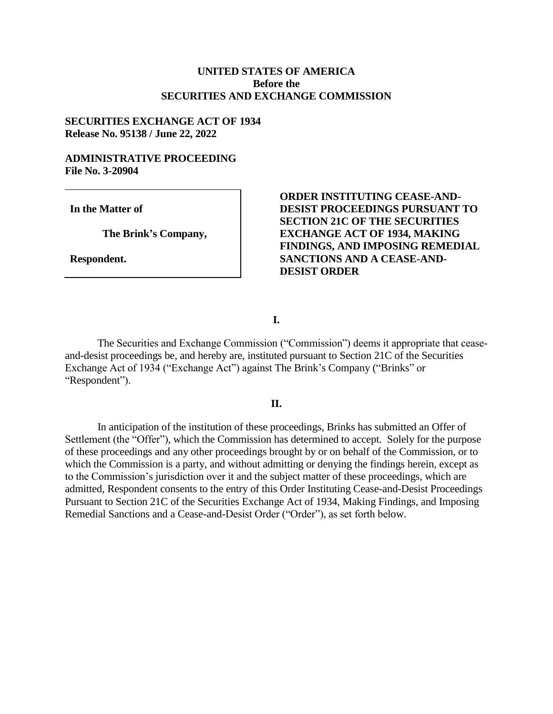# **UNITED STATES OF AMERICA Before the SECURITIES AND EXCHANGE COMMISSION**

#### **SECURITIES EXCHANGE ACT OF 1934 Release No. 95138 / June 22, 2022**

## **ADMINISTRATIVE PROCEEDING File No. 3-20904**

**In the Matter of**

**The Brink's Company,**

**Respondent.**

**ORDER INSTITUTING CEASE-AND-DESIST PROCEEDINGS PURSUANT TO SECTION 21C OF THE SECURITIES EXCHANGE ACT OF 1934, MAKING FINDINGS, AND IMPOSING REMEDIAL SANCTIONS AND A CEASE-AND-DESIST ORDER** 

**I.**

The Securities and Exchange Commission ("Commission") deems it appropriate that ceaseand-desist proceedings be, and hereby are, instituted pursuant to Section 21C of the Securities Exchange Act of 1934 ("Exchange Act") against The Brink's Company ("Brinks" or "Respondent").

## **II.**

In anticipation of the institution of these proceedings, Brinks has submitted an Offer of Settlement (the "Offer"), which the Commission has determined to accept. Solely for the purpose of these proceedings and any other proceedings brought by or on behalf of the Commission, or to which the Commission is a party, and without admitting or denying the findings herein, except as to the Commission's jurisdiction over it and the subject matter of these proceedings, which are admitted, Respondent consents to the entry of this Order Instituting Cease-and-Desist Proceedings Pursuant to Section 21C of the Securities Exchange Act of 1934, Making Findings, and Imposing Remedial Sanctions and a Cease-and-Desist Order ("Order"), as set forth below.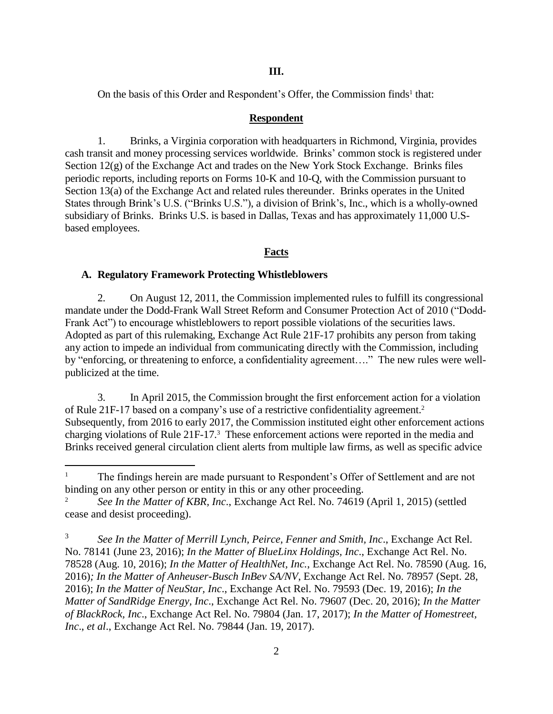On the basis of this Order and Respondent's Offer, the Commission finds<sup>1</sup> that:

### **Respondent**

1. Brinks, a Virginia corporation with headquarters in Richmond, Virginia, provides cash transit and money processing services worldwide. Brinks' common stock is registered under Section 12(g) of the Exchange Act and trades on the New York Stock Exchange. Brinks files periodic reports, including reports on Forms 10-K and 10-Q, with the Commission pursuant to Section 13(a) of the Exchange Act and related rules thereunder. Brinks operates in the United States through Brink's U.S. ("Brinks U.S."), a division of Brink's, Inc., which is a wholly-owned subsidiary of Brinks. Brinks U.S. is based in Dallas, Texas and has approximately 11,000 U.Sbased employees.

# **Facts**

## **A. Regulatory Framework Protecting Whistleblowers**

 $\overline{a}$ 

2. On August 12, 2011, the Commission implemented rules to fulfill its congressional mandate under the Dodd-Frank Wall Street Reform and Consumer Protection Act of 2010 ("Dodd-Frank Act") to encourage whistleblowers to report possible violations of the securities laws. Adopted as part of this rulemaking, Exchange Act Rule 21F-17 prohibits any person from taking any action to impede an individual from communicating directly with the Commission, including by "enforcing, or threatening to enforce, a confidentiality agreement…." The new rules were wellpublicized at the time.

3. In April 2015, the Commission brought the first enforcement action for a violation of Rule 21F-17 based on a company's use of a restrictive confidentiality agreement. 2 Subsequently, from 2016 to early 2017, the Commission instituted eight other enforcement actions charging violations of Rule 21F-17.<sup>3</sup> These enforcement actions were reported in the media and Brinks received general circulation client alerts from multiple law firms, as well as specific advice

<sup>&</sup>lt;sup>1</sup> The findings herein are made pursuant to Respondent's Offer of Settlement and are not binding on any other person or entity in this or any other proceeding.

<sup>2</sup> *See In the Matter of KBR, Inc*., Exchange Act Rel. No. 74619 (April 1, 2015) (settled cease and desist proceeding).

<sup>3</sup> *See In the Matter of Merrill Lynch, Peirce, Fenner and Smith, Inc*., Exchange Act Rel. No. 78141 (June 23, 2016); *In the Matter of BlueLinx Holdings, Inc*., Exchange Act Rel. No. 78528 (Aug. 10, 2016); *In the Matter of HealthNet, Inc.*, Exchange Act Rel. No. 78590 (Aug. 16, 2016)*; In the Matter of Anheuser-Busch InBev SA/NV*, Exchange Act Rel. No. 78957 (Sept. 28, 2016); *In the Matter of NeuStar, Inc*., Exchange Act Rel. No. 79593 (Dec. 19, 2016); *In the Matter of SandRidge Energy, Inc*., Exchange Act Rel. No. 79607 (Dec. 20, 2016); *In the Matter of BlackRock, Inc*., Exchange Act Rel. No. 79804 (Jan. 17, 2017); *In the Matter of Homestreet, Inc*., *et al*., Exchange Act Rel. No. 79844 (Jan. 19, 2017).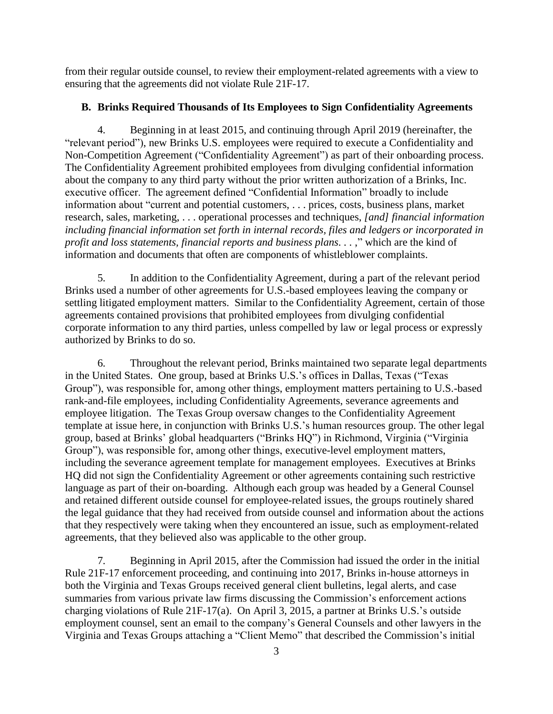from their regular outside counsel, to review their employment-related agreements with a view to ensuring that the agreements did not violate Rule 21F-17.

# **B. Brinks Required Thousands of Its Employees to Sign Confidentiality Agreements**

Beginning in at least 2015, and continuing through April 2019 (hereinafter, the "relevant period"), new Brinks U.S. employees were required to execute a Confidentiality and Non-Competition Agreement ("Confidentiality Agreement") as part of their onboarding process. The Confidentiality Agreement prohibited employees from divulging confidential information about the company to any third party without the prior written authorization of a Brinks, Inc. executive officer. The agreement defined "Confidential Information" broadly to include information about "current and potential customers, . . . prices, costs, business plans, market research, sales, marketing, . . . operational processes and techniques, *[and] financial information including financial information set forth in internal records, files and ledgers or incorporated in profit and loss statements, financial reports and business plans...,*" which are the kind of information and documents that often are components of whistleblower complaints.

5. In addition to the Confidentiality Agreement, during a part of the relevant period Brinks used a number of other agreements for U.S.-based employees leaving the company or settling litigated employment matters. Similar to the Confidentiality Agreement, certain of those agreements contained provisions that prohibited employees from divulging confidential corporate information to any third parties, unless compelled by law or legal process or expressly authorized by Brinks to do so.

6. Throughout the relevant period, Brinks maintained two separate legal departments in the United States. One group, based at Brinks U.S.'s offices in Dallas, Texas ("Texas Group"), was responsible for, among other things, employment matters pertaining to U.S.-based rank-and-file employees, including Confidentiality Agreements, severance agreements and employee litigation. The Texas Group oversaw changes to the Confidentiality Agreement template at issue here, in conjunction with Brinks U.S.'s human resources group. The other legal group, based at Brinks' global headquarters ("Brinks HQ") in Richmond, Virginia ("Virginia Group"), was responsible for, among other things, executive-level employment matters, including the severance agreement template for management employees. Executives at Brinks HQ did not sign the Confidentiality Agreement or other agreements containing such restrictive language as part of their on-boarding. Although each group was headed by a General Counsel and retained different outside counsel for employee-related issues, the groups routinely shared the legal guidance that they had received from outside counsel and information about the actions that they respectively were taking when they encountered an issue, such as employment-related agreements, that they believed also was applicable to the other group.

7. Beginning in April 2015, after the Commission had issued the order in the initial Rule 21F-17 enforcement proceeding, and continuing into 2017, Brinks in-house attorneys in both the Virginia and Texas Groups received general client bulletins, legal alerts, and case summaries from various private law firms discussing the Commission's enforcement actions charging violations of Rule 21F-17(a). On April 3, 2015, a partner at Brinks U.S.'s outside employment counsel, sent an email to the company's General Counsels and other lawyers in the Virginia and Texas Groups attaching a "Client Memo" that described the Commission's initial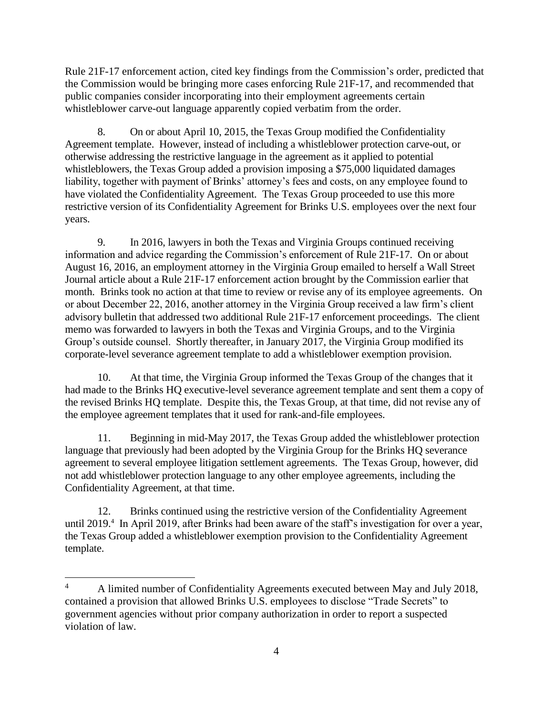Rule 21F-17 enforcement action, cited key findings from the Commission's order, predicted that the Commission would be bringing more cases enforcing Rule 21F-17, and recommended that public companies consider incorporating into their employment agreements certain whistleblower carve-out language apparently copied verbatim from the order.

8. On or about April 10, 2015, the Texas Group modified the Confidentiality Agreement template. However, instead of including a whistleblower protection carve-out, or otherwise addressing the restrictive language in the agreement as it applied to potential whistleblowers, the Texas Group added a provision imposing a \$75,000 liquidated damages liability, together with payment of Brinks' attorney's fees and costs, on any employee found to have violated the Confidentiality Agreement. The Texas Group proceeded to use this more restrictive version of its Confidentiality Agreement for Brinks U.S. employees over the next four years.

9. In 2016, lawyers in both the Texas and Virginia Groups continued receiving information and advice regarding the Commission's enforcement of Rule 21F-17. On or about August 16, 2016, an employment attorney in the Virginia Group emailed to herself a Wall Street Journal article about a Rule 21F-17 enforcement action brought by the Commission earlier that month. Brinks took no action at that time to review or revise any of its employee agreements. On or about December 22, 2016, another attorney in the Virginia Group received a law firm's client advisory bulletin that addressed two additional Rule 21F-17 enforcement proceedings. The client memo was forwarded to lawyers in both the Texas and Virginia Groups, and to the Virginia Group's outside counsel. Shortly thereafter, in January 2017, the Virginia Group modified its corporate-level severance agreement template to add a whistleblower exemption provision.

10. At that time, the Virginia Group informed the Texas Group of the changes that it had made to the Brinks HQ executive-level severance agreement template and sent them a copy of the revised Brinks HQ template. Despite this, the Texas Group, at that time, did not revise any of the employee agreement templates that it used for rank-and-file employees.

11. Beginning in mid-May 2017, the Texas Group added the whistleblower protection language that previously had been adopted by the Virginia Group for the Brinks HQ severance agreement to several employee litigation settlement agreements. The Texas Group, however, did not add whistleblower protection language to any other employee agreements, including the Confidentiality Agreement, at that time.

12. Brinks continued using the restrictive version of the Confidentiality Agreement until 2019.<sup>4</sup> In April 2019, after Brinks had been aware of the staff's investigation for over a year, the Texas Group added a whistleblower exemption provision to the Confidentiality Agreement template.

 $\overline{a}$ 

<sup>&</sup>lt;sup>4</sup> A limited number of Confidentiality Agreements executed between May and July 2018, contained a provision that allowed Brinks U.S. employees to disclose "Trade Secrets" to government agencies without prior company authorization in order to report a suspected violation of law.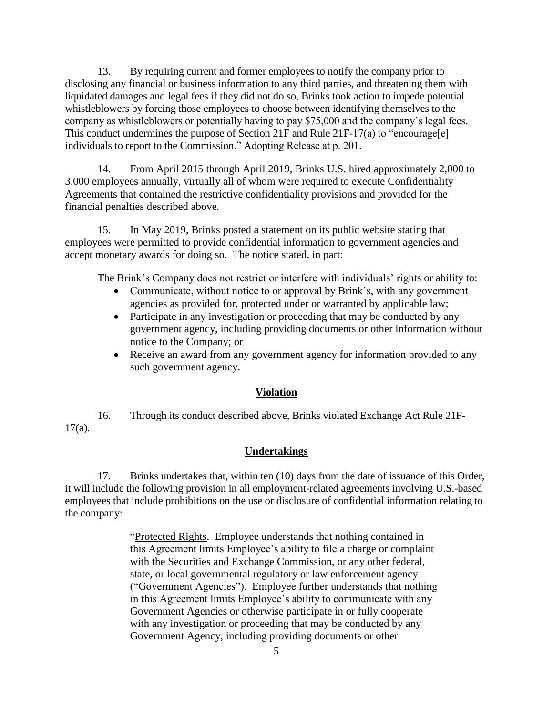13. By requiring current and former employees to notify the company prior to disclosing any financial or business information to any third parties, and threatening them with liquidated damages and legal fees if they did not do so, Brinks took action to impede potential whistleblowers by forcing those employees to choose between identifying themselves to the company as whistleblowers or potentially having to pay \$75,000 and the company's legal fees. This conduct undermines the purpose of Section 21F and Rule 21F-17(a) to "encourage[e] individuals to report to the Commission." Adopting Release at p. 201.

14. From April 2015 through April 2019, Brinks U.S. hired approximately 2,000 to 3,000 employees annually, virtually all of whom were required to execute Confidentiality Agreements that contained the restrictive confidentiality provisions and provided for the financial penalties described above.

15. In May 2019, Brinks posted a statement on its public website stating that employees were permitted to provide confidential information to government agencies and accept monetary awards for doing so. The notice stated, in part:

The Brink's Company does not restrict or interfere with individuals' rights or ability to:

- Communicate, without notice to or approval by Brink's, with any government agencies as provided for, protected under or warranted by applicable law;
- Participate in any investigation or proceeding that may be conducted by any government agency, including providing documents or other information without notice to the Company; or
- Receive an award from any government agency for information provided to any such government agency.

# **Violation**

16. Through its conduct described above, Brinks violated Exchange Act Rule 21F-17(a).

#### **Undertakings**

17. Brinks undertakes that, within ten (10) days from the date of issuance of this Order, it will include the following provision in all employment-related agreements involving U.S.-based employees that include prohibitions on the use or disclosure of confidential information relating to the company:

> "Protected Rights. Employee understands that nothing contained in this Agreement limits Employee's ability to file a charge or complaint with the Securities and Exchange Commission, or any other federal, state, or local governmental regulatory or law enforcement agency ("Government Agencies"). Employee further understands that nothing in this Agreement limits Employee's ability to communicate with any Government Agencies or otherwise participate in or fully cooperate with any investigation or proceeding that may be conducted by any Government Agency, including providing documents or other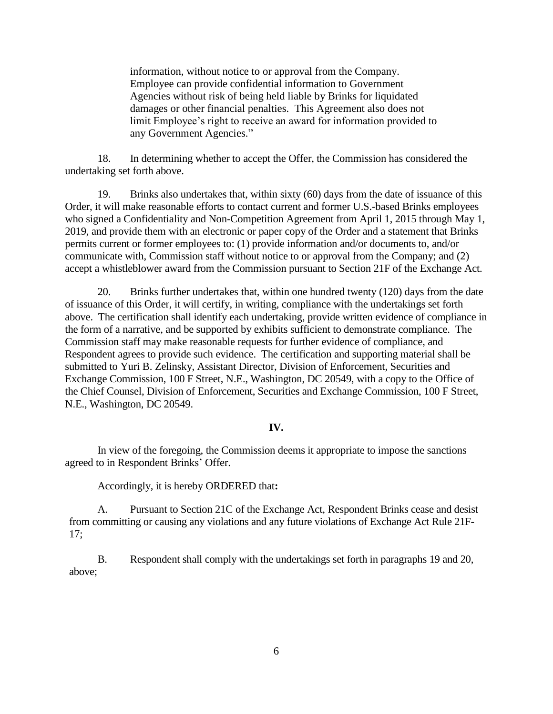information, without notice to or approval from the Company. Employee can provide confidential information to Government Agencies without risk of being held liable by Brinks for liquidated damages or other financial penalties. This Agreement also does not limit Employee's right to receive an award for information provided to any Government Agencies."

18. In determining whether to accept the Offer, the Commission has considered the undertaking set forth above.

19. Brinks also undertakes that, within sixty (60) days from the date of issuance of this Order, it will make reasonable efforts to contact current and former U.S.-based Brinks employees who signed a Confidentiality and Non-Competition Agreement from April 1, 2015 through May 1, 2019, and provide them with an electronic or paper copy of the Order and a statement that Brinks permits current or former employees to: (1) provide information and/or documents to, and/or communicate with, Commission staff without notice to or approval from the Company; and (2) accept a whistleblower award from the Commission pursuant to Section 21F of the Exchange Act.

20. Brinks further undertakes that, within one hundred twenty (120) days from the date of issuance of this Order, it will certify, in writing, compliance with the undertakings set forth above. The certification shall identify each undertaking, provide written evidence of compliance in the form of a narrative, and be supported by exhibits sufficient to demonstrate compliance. The Commission staff may make reasonable requests for further evidence of compliance, and Respondent agrees to provide such evidence. The certification and supporting material shall be submitted to Yuri B. Zelinsky, Assistant Director, Division of Enforcement, Securities and Exchange Commission, 100 F Street, N.E., Washington, DC 20549, with a copy to the Office of the Chief Counsel, Division of Enforcement, Securities and Exchange Commission, 100 F Street, N.E., Washington, DC 20549.

#### **IV.**

In view of the foregoing, the Commission deems it appropriate to impose the sanctions agreed to in Respondent Brinks' Offer.

Accordingly, it is hereby ORDERED that**:**

A. Pursuant to Section 21C of the Exchange Act, Respondent Brinks cease and desist from committing or causing any violations and any future violations of Exchange Act Rule 21F-17;

B. Respondent shall comply with the undertakings set forth in paragraphs 19 and 20, above;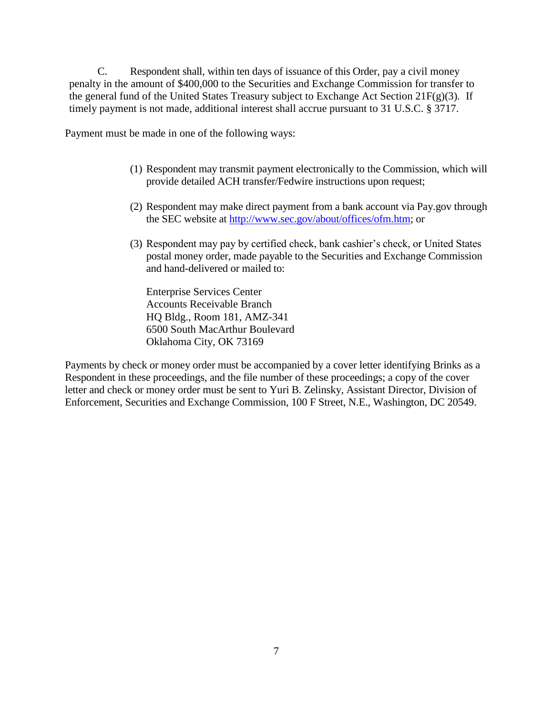C. Respondent shall, within ten days of issuance of this Order, pay a civil money penalty in the amount of \$400,000 to the Securities and Exchange Commission for transfer to the general fund of the United States Treasury subject to Exchange Act Section 21F(g)(3)*.* If timely payment is not made, additional interest shall accrue pursuant to 31 U.S.C. § 3717.

Payment must be made in one of the following ways:

- (1) Respondent may transmit payment electronically to the Commission, which will provide detailed ACH transfer/Fedwire instructions upon request;
- (2) Respondent may make direct payment from a bank account via Pay.gov through the SEC website at [http://www.sec.gov/about/offices/ofm.htm;](http://www.sec.gov/about/offices/ofm.htm) or
- (3) Respondent may pay by certified check, bank cashier's check, or United States postal money order, made payable to the Securities and Exchange Commission and hand-delivered or mailed to:

Enterprise Services Center Accounts Receivable Branch HQ Bldg., Room 181, AMZ-341 6500 South MacArthur Boulevard Oklahoma City, OK 73169

Payments by check or money order must be accompanied by a cover letter identifying Brinks as a Respondent in these proceedings, and the file number of these proceedings; a copy of the cover letter and check or money order must be sent to Yuri B. Zelinsky, Assistant Director, Division of Enforcement, Securities and Exchange Commission, 100 F Street, N.E., Washington, DC 20549.